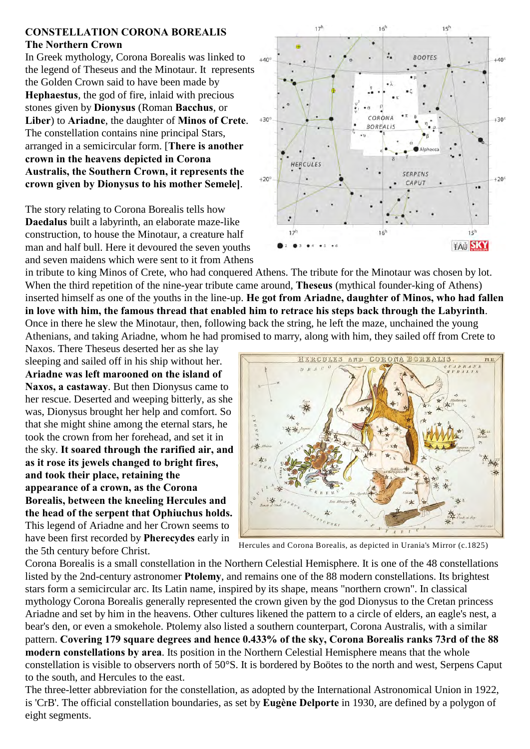## **CONSTELLATION CORONA BOREALIS The Northern Crown**

In Greek mythology, Corona Borealis was linked to the legend of Theseus and the Minotaur. It represents the Golden Crown said to have been made by **Hephaestus**, the god of fire, inlaid with precious stones given by **Dionysus** (Roman **Bacchus**, or **Liber**) to **Ariadne**, the daughter of **Minos of Crete**. The constellation contains nine principal Stars, arranged in a semicircular form. [**There is another crown in the heavens depicted in Corona Australis, the Southern Crown, it represents the crown given by Dionysus to his mother Semele]**.

The story relating to Corona Borealis tells how **Daedalus** built a labyrinth, an elaborate maze-like construction, to house the Minotaur, a creature half man and half bull. Here it devoured the seven youths and seven maidens which were sent to it from Athens



in tribute to king Minos of Crete, who had conquered Athens. The tribute for the Minotaur was chosen by lot. When the third repetition of the nine-year tribute came around, **Theseus** (mythical founder-king of Athens) inserted himself as one of the youths in the line-up. **He got from Ariadne, daughter of Minos, who had fallen in love with him, the famous thread that enabled him to retrace his steps back through the Labyrinth**. Once in there he slew the Minotaur, then, following back the string, he left the maze, unchained the young Athenians, and taking Ariadne, whom he had promised to marry, along with him, they sailed off from Crete to

Naxos. There Theseus deserted her as she lay sleeping and sailed off in his ship without her. **Ariadne was left marooned on the island of Naxos, a castaway**. But then Dionysus came to her rescue. Deserted and weeping bitterly, as she was, Dionysus brought her help and comfort. So that she might shine among the eternal stars, he took the crown from her forehead, and set it in the sky. **It soared through the rarified air, and as it rose its jewels changed to bright fires, and took their place, retaining the appearance of a crown, as the Corona Borealis, between the kneeling Hercules and the head of the serpent that Ophiuchus holds.** This legend of Ariadne and her Crown seems to have been first recorded by **Pherecydes** early in the 5th century before Christ.



Hercules and Corona Borealis, as depicted in Urania's Mirror (c.1825)

Corona Borealis is a small constellation in the Northern Celestial Hemisphere. It is one of the 48 constellations listed by the 2nd-century astronomer **Ptolemy**, and remains one of the 88 modern constellations. Its brightest stars form a semicircular arc. Its Latin name, inspired by its shape, means "northern crown". In classical mythology Corona Borealis generally represented the crown given by the god Dionysus to the Cretan princess Ariadne and set by him in the heavens. Other cultures likened the pattern to a circle of elders, an eagle's nest, a bear's den, or even a smokehole. Ptolemy also listed a southern counterpart, Corona Australis, with a similar pattern. **Covering 179 square degrees and hence 0.433% of the sky, Corona Borealis ranks 73rd of the 88 modern constellations by area**. Its position in the Northern Celestial Hemisphere means that the whole constellation is visible to observers north of 50°S. It is bordered by Boötes to the north and west, Serpens Caput to the south, and Hercules to the east.

The three-letter abbreviation for the constellation, as adopted by the International Astronomical Union in 1922, is 'CrB'. The official constellation boundaries, as set by **Eugène Delporte** in 1930, are defined by a polygon of eight segments.